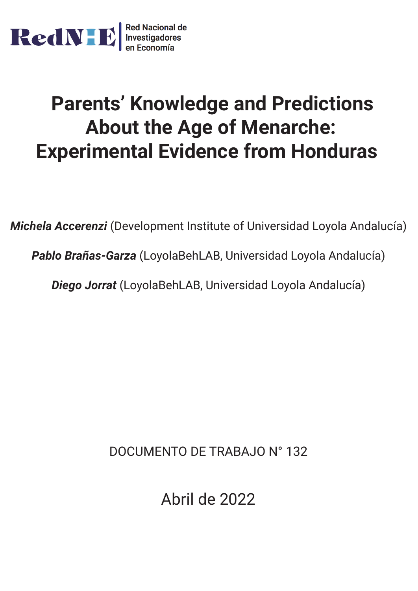

# **Parents' Knowledge and Predictions About the Age of Menarche: Experimental Evidence from Honduras**

*Michela Accerenzi* (Development Institute of Universidad Loyola Andalucía)

*Pablo Brañas-Garza* (LoyolaBehLAB, Universidad Loyola Andalucía)

*Diego Jorrat* (LoyolaBehLAB, Universidad Loyola Andalucía)

DOCUMENTO DE TRABAJO N° 132

Abril de 2022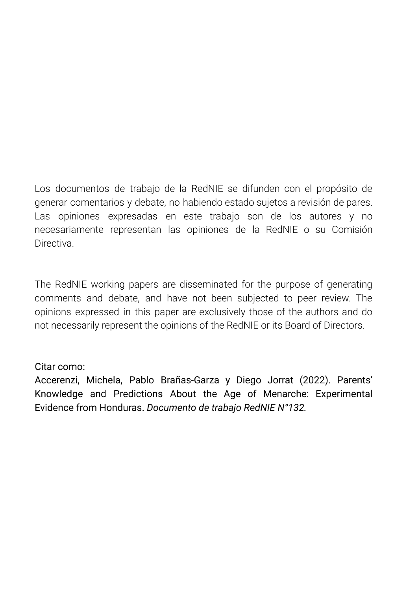Los documentos de trabajo de la RedNIE se difunden con el propósito de generar comentarios y debate, no habiendo estado sujetos a revisión de pares. Las opiniones expresadas en este trabajo son de los autores y no necesariamente representan las opiniones de la RedNIE o su Comisión **Directiva** 

The RedNIE working papers are disseminated for the purpose of generating comments and debate, and have not been subjected to peer review. The opinions expressed in this paper are exclusively those of the authors and do not necessarily represent the opinions of the RedNIE or its Board of Directors.

# Citar como:

Accerenzi, Michela, Pablo Brañas-Garza y Diego Jorrat (2022). Parents' Knowledge and Predictions About the Age of Menarche: Experimental Evidence from Honduras. *Documento de trabajo RedNIE N°132.*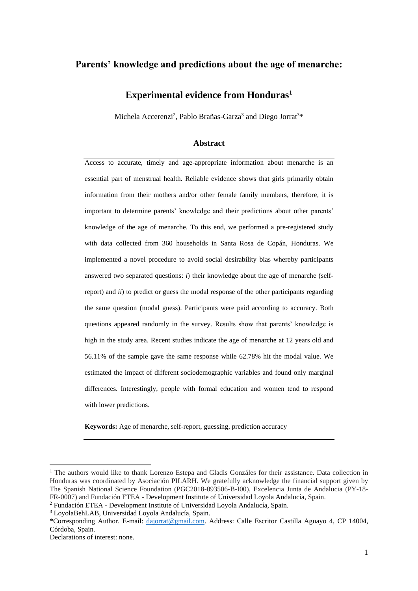### **Parents' knowledge and predictions about the age of menarche:**

## **Experimental evidence from Honduras<sup>1</sup>**

Michela Accerenzi<sup>2</sup>, Pablo Brañas-Garza<sup>3</sup> and Diego Jorrat<sup>3\*</sup>

#### **Abstract**

Access to accurate, timely and age-appropriate information about menarche is an essential part of menstrual health. Reliable evidence shows that girls primarily obtain information from their mothers and/or other female family members, therefore, it is important to determine parents' knowledge and their predictions about other parents' knowledge of the age of menarche. To this end, we performed a pre-registered study with data collected from 360 households in Santa Rosa de Copán, Honduras. We implemented a novel procedure to avoid social desirability bias whereby participants answered two separated questions: *i*) their knowledge about the age of menarche (selfreport) and *ii*) to predict or guess the modal response of the other participants regarding the same question (modal guess). Participants were paid according to accuracy. Both questions appeared randomly in the survey. Results show that parents' knowledge is high in the study area. Recent studies indicate the age of menarche at 12 years old and 56.11% of the sample gave the same response while 62.78% hit the modal value. We estimated the impact of different sociodemographic variables and found only marginal differences. Interestingly, people with formal education and women tend to respond with lower predictions.

**Keywords:** Age of menarche, self-report, guessing, prediction accuracy

<sup>&</sup>lt;sup>1</sup> The authors would like to thank Lorenzo Estepa and Gladis Gonzáles for their assistance. Data collection in Honduras was coordinated by Asociación PILARH. We gratefully acknowledge the financial support given by The Spanish National Science Foundation (PGC2018-093506-B-I00), Excelencia Junta de Andalucia (PY-18- FR-0007) and Fundación ETEA - Development Institute of Universidad Loyola Andalucía, Spain.

<sup>2</sup> Fundación ETEA - Development Institute of Universidad Loyola Andalucía, Spain.

<sup>3</sup> LoyolaBehLAB, Universidad Loyola Andalucía, Spain.

<sup>\*</sup>Corresponding Author. E-mail: [dajorrat@gmail.com.](mailto:dajorrat@gmail.com) Address: Calle Escritor Castilla Aguayo 4, CP 14004, Córdoba, Spain.

Declarations of interest: none.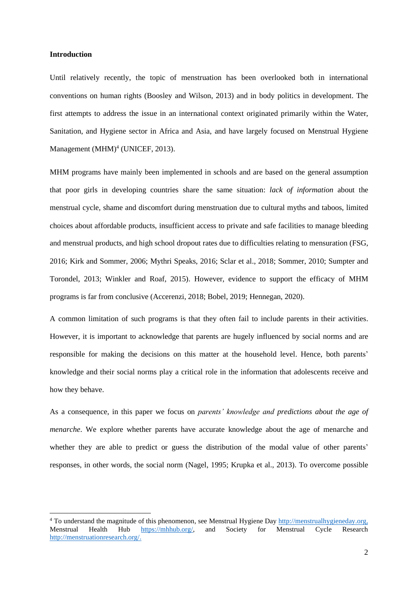#### **Introduction**

Until relatively recently, the topic of menstruation has been overlooked both in international conventions on human rights (Boosley and Wilson, 2013) and in body politics in development. The first attempts to address the issue in an international context originated primarily within the Water, Sanitation, and Hygiene sector in Africa and Asia, and have largely focused on Menstrual Hygiene Management (MHM)<sup>4</sup> (UNICEF, 2013).

MHM programs have mainly been implemented in schools and are based on the general assumption that poor girls in developing countries share the same situation: *lack of information* about the menstrual cycle, shame and discomfort during menstruation due to cultural myths and taboos, limited choices about affordable products, insufficient access to private and safe facilities to manage bleeding and menstrual products, and high school dropout rates due to difficulties relating to mensuration (FSG, 2016; Kirk and Sommer, 2006; Mythri Speaks, 2016; Sclar et al., 2018; Sommer, 2010; Sumpter and Torondel, 2013; Winkler and Roaf, 2015). However, evidence to support the efficacy of MHM programs is far from conclusive (Accerenzi, 2018; Bobel, 2019; Hennegan, 2020).

A common limitation of such programs is that they often fail to include parents in their activities. However, it is important to acknowledge that parents are hugely influenced by social norms and are responsible for making the decisions on this matter at the household level. Hence, both parents' knowledge and their social norms play a critical role in the information that adolescents receive and how they behave.

As a consequence, in this paper we focus on *parents' knowledge and predictions about the age of menarche*. We explore whether parents have accurate knowledge about the age of menarche and whether they are able to predict or guess the distribution of the modal value of other parents' responses, in other words, the social norm (Nagel, 1995; Krupka et al., 2013). To overcome possible

<sup>4</sup> To understand the magnitude of this phenomenon, see Menstrual Hygiene Day [http://menstrualhygieneday.org,](http://menstrualhygieneday.org/) Menstrual Health Hub [https://mhhub.org/,](https://mhhub.org/) and Society for Menstrual Cycle Research http://menstruationresearch.org/.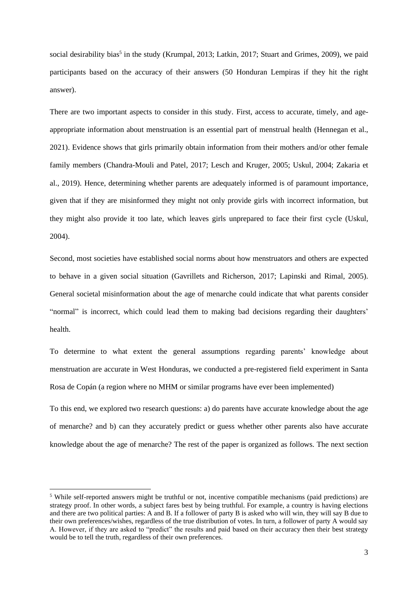social desirability bias<sup>5</sup> in the study (Krumpal, 2013; Latkin, 2017; Stuart and Grimes, 2009), we paid participants based on the accuracy of their answers (50 Honduran Lempiras if they hit the right answer).

There are two important aspects to consider in this study. First, access to accurate, timely, and ageappropriate information about menstruation is an essential part of menstrual health (Hennegan et al., 2021). Evidence shows that girls primarily obtain information from their mothers and/or other female family members (Chandra-Mouli and Patel, 2017; Lesch and Kruger, 2005; Uskul, 2004; Zakaria et al., 2019). Hence, determining whether parents are adequately informed is of paramount importance, given that if they are misinformed they might not only provide girls with incorrect information, but they might also provide it too late, which leaves girls unprepared to face their first cycle (Uskul, 2004).

Second, most societies have established social norms about how menstruators and others are expected to behave in a given social situation (Gavrillets and Richerson, 2017; Lapinski and Rimal, 2005). General societal misinformation about the age of menarche could indicate that what parents consider "normal" is incorrect, which could lead them to making bad decisions regarding their daughters' health.

To determine to what extent the general assumptions regarding parents' knowledge about menstruation are accurate in West Honduras, we conducted a pre-registered field experiment in Santa Rosa de Copán (a region where no MHM or similar programs have ever been implemented)

To this end, we explored two research questions: a) do parents have accurate knowledge about the age of menarche? and b) can they accurately predict or guess whether other parents also have accurate knowledge about the age of menarche? The rest of the paper is organized as follows. The next section

<sup>5</sup> While self-reported answers might be truthful or not, incentive compatible mechanisms (paid predictions) are strategy proof. In other words, a subject fares best by being truthful. For example, a country is having elections and there are two political parties: A and B. If a follower of party B is asked who will win, they will say B due to their own preferences/wishes, regardless of the true distribution of votes. In turn, a follower of party A would say A. However, if they are asked to "predict" the results and paid based on their accuracy then their best strategy would be to tell the truth, regardless of their own preferences.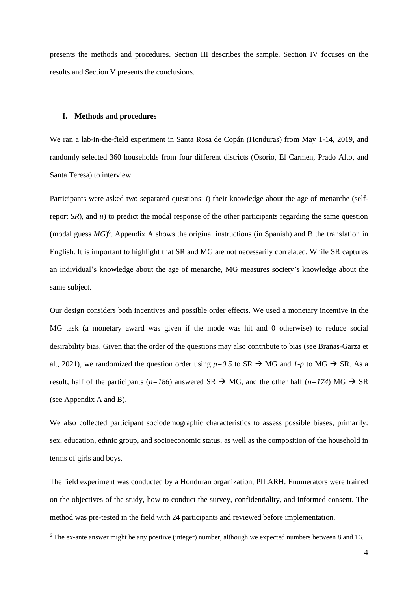presents the methods and procedures. Section III describes the sample. Section IV focuses on the results and Section V presents the conclusions.

#### **I. Methods and procedures**

We ran a lab-in-the-field experiment in Santa Rosa de Copán (Honduras) from May 1-14, 2019, and randomly selected 360 households from four different districts (Osorio, El Carmen, Prado Alto, and Santa Teresa) to interview.

Participants were asked two separated questions: *i*) their knowledge about the age of menarche (selfreport *SR*), and *ii*) to predict the modal response of the other participants regarding the same question (modal guess *MG*) 6 . Appendix A shows the original instructions (in Spanish) and B the translation in English. It is important to highlight that SR and MG are not necessarily correlated. While SR captures an individual's knowledge about the age of menarche, MG measures society's knowledge about the same subject.

Our design considers both incentives and possible order effects. We used a monetary incentive in the MG task (a monetary award was given if the mode was hit and 0 otherwise) to reduce social desirability bias. Given that the order of the questions may also contribute to bias (see Brañas-Garza et al., 2021), we randomized the question order using  $p=0.5$  to SR  $\rightarrow$  MG and *1-p* to MG  $\rightarrow$  SR. As a result, half of the participants ( $n=186$ ) answered SR  $\rightarrow$  MG, and the other half ( $n=174$ ) MG  $\rightarrow$  SR (see Appendix A and B).

We also collected participant sociodemographic characteristics to assess possible biases, primarily: sex, education, ethnic group, and socioeconomic status, as well as the composition of the household in terms of girls and boys.

The field experiment was conducted by a Honduran organization, PILARH. Enumerators were trained on the objectives of the study, how to conduct the survey, confidentiality, and informed consent. The method was pre-tested in the field with 24 participants and reviewed before implementation.

<sup>6</sup> The ex-ante answer might be any positive (integer) number, although we expected numbers between 8 and 16.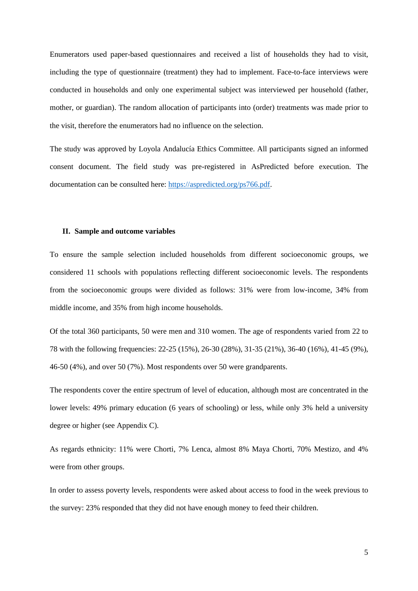Enumerators used paper-based questionnaires and received a list of households they had to visit, including the type of questionnaire (treatment) they had to implement. Face-to-face interviews were conducted in households and only one experimental subject was interviewed per household (father, mother, or guardian). The random allocation of participants into (order) treatments was made prior to the visit, therefore the enumerators had no influence on the selection.

The study was approved by Loyola Andalucía Ethics Committee. All participants signed an informed consent document. The field study was pre-registered in AsPredicted before execution. The documentation can be consulted here: [https://aspredicted.org/ps766.pdf.](https://aspredicted.org/ps766.pdf)

#### **II. Sample and outcome variables**

To ensure the sample selection included households from different socioeconomic groups, we considered 11 schools with populations reflecting different socioeconomic levels. The respondents from the socioeconomic groups were divided as follows: 31% were from low-income, 34% from middle income, and 35% from high income households.

Of the total 360 participants, 50 were men and 310 women. The age of respondents varied from 22 to 78 with the following frequencies: 22-25 (15%), 26-30 (28%), 31-35 (21%), 36-40 (16%), 41-45 (9%), 46-50 (4%), and over 50 (7%). Most respondents over 50 were grandparents.

The respondents cover the entire spectrum of level of education, although most are concentrated in the lower levels: 49% primary education (6 years of schooling) or less, while only 3% held a university degree or higher (see Appendix C).

As regards ethnicity: 11% were Chorti, 7% Lenca, almost 8% Maya Chorti, 70% Mestizo, and 4% were from other groups.

In order to assess poverty levels, respondents were asked about access to food in the week previous to the survey: 23% responded that they did not have enough money to feed their children.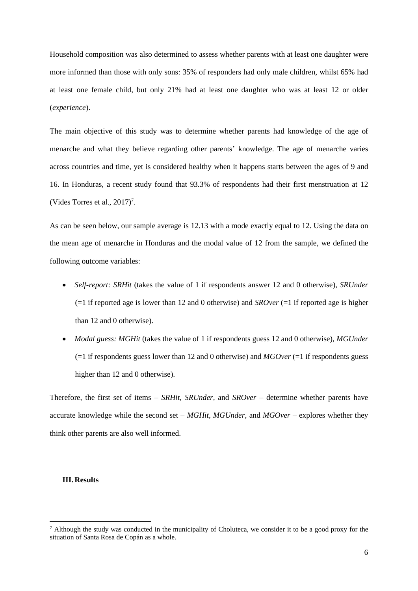Household composition was also determined to assess whether parents with at least one daughter were more informed than those with only sons: 35% of responders had only male children, whilst 65% had at least one female child, but only 21% had at least one daughter who was at least 12 or older (*experience*).

The main objective of this study was to determine whether parents had knowledge of the age of menarche and what they believe regarding other parents' knowledge. The age of menarche varies across countries and time, yet is considered healthy when it happens starts between the ages of 9 and 16. In Honduras, a recent study found that 93.3% of respondents had their first menstruation at 12 (Vides Torres et al.,  $2017$ )<sup>7</sup>.

As can be seen below, our sample average is 12.13 with a mode exactly equal to 12. Using the data on the mean age of menarche in Honduras and the modal value of 12 from the sample, we defined the following outcome variables:

- *Self-report: SRHit* (takes the value of 1 if respondents answer 12 and 0 otherwise), *SRUnder*  $(=1)$  if reported age is lower than 12 and 0 otherwise) and *SROver*  $(=1)$  if reported age is higher than 12 and 0 otherwise).
- *Modal guess: MGHit* (takes the value of 1 if respondents guess 12 and 0 otherwise), *MGUnder*   $(=1)$  if respondents guess lower than 12 and 0 otherwise) and *MGOver*  $(=1)$  if respondents guess higher than 12 and 0 otherwise).

Therefore, the first set of items – *SRHit, SRUnder,* and *SROver –* determine whether parents have accurate knowledge while the second set – *MGHit, MGUnder,* and *MGOver –* explores whether they think other parents are also well informed.

#### **III. Results**

 $<sup>7</sup>$  Although the study was conducted in the municipality of Choluteca, we consider it to be a good proxy for the</sup> situation of Santa Rosa de Copán as a whole.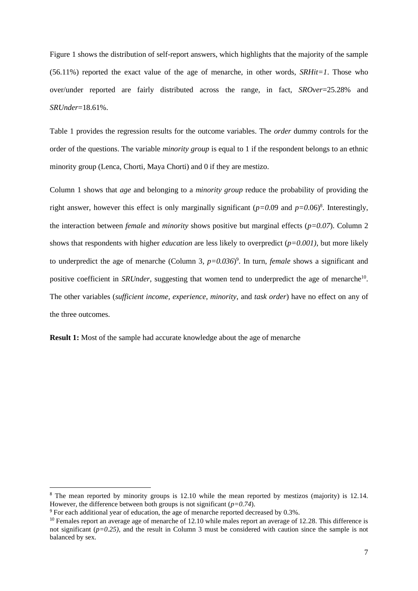Figure 1 shows the distribution of self-report answers, which highlights that the majority of the sample (56.11%) reported the exact value of the age of menarche, in other words, *SRHit=1*. Those who over/under reported are fairly distributed across the range, in fact, *SROver*=25.28% and *SRUnder*=18.61%.

Table 1 provides the regression results for the outcome variables. The *order* dummy controls for the order of the questions. The variable *minority group* is equal to 1 if the respondent belongs to an ethnic minority group (Lenca, Chorti, Maya Chorti) and 0 if they are mestizo.

Column 1 shows that *age* and belonging to a *minority group* reduce the probability of providing the right answer, however this effect is only marginally significant  $(p=0.09$  and  $p=0.06)$ <sup>8</sup>. Interestingly, the interaction between *female* and *minority* shows positive but marginal effects (*p=0.07*). Column 2 shows that respondents with higher *education* are less likely to overpredict (*p=0.001)*, but more likely to underpredict the age of menarche (Column 3,  $p=0.036$ )<sup>o</sup>. In turn, *female* shows a significant and positive coefficient in *SRUnder*, suggesting that women tend to underpredict the age of menarche<sup>10</sup>. The other variables (*sufficient income, experience, minority*, and *task order*) have no effect on any of the three outcomes.

**Result 1:** Most of the sample had accurate knowledge about the age of menarche

<sup>&</sup>lt;sup>8</sup> The mean reported by minority groups is 12.10 while the mean reported by mestizos (majority) is 12.14. However, the difference between both groups is not significant  $(p=0.74)$ .

<sup>9</sup> For each additional year of education, the age of menarche reported decreased by 0.3%.

<sup>&</sup>lt;sup>10</sup> Females report an average age of menarche of 12.10 while males report an average of 12.28. This difference is not significant (*p=0.25),* and the result in Column 3 must be considered with caution since the sample is not balanced by sex*.*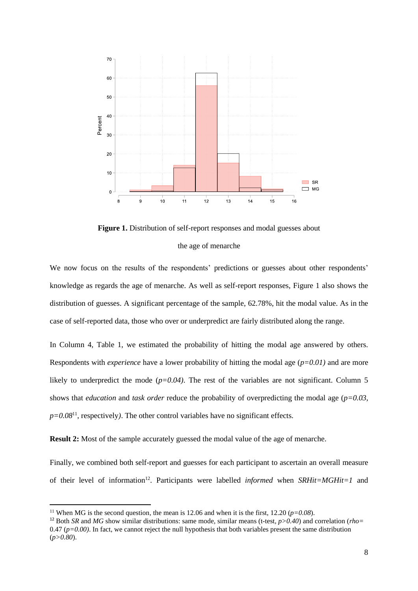

Figure 1. Distribution of self-report responses and modal guesses about

#### the age of menarche

We now focus on the results of the respondents' predictions or guesses about other respondents' knowledge as regards the age of menarche. As well as self-report responses, Figure 1 also shows the distribution of guesses. A significant percentage of the sample, 62.78%, hit the modal value. As in the case of self-reported data, those who over or underpredict are fairly distributed along the range.

In Column 4, Table 1, we estimated the probability of hitting the modal age answered by others. Respondents with *experience* have a lower probability of hitting the modal age (*p=0.01)* and are more likely to underpredict the mode  $(p=0.04)$ . The rest of the variables are not significant. Column 5 shows that *education* and *task order* reduce the probability of overpredicting the modal age (*p=0.03,*   $p=0.08$ <sup>11</sup>, respectively). The other control variables have no significant effects.

**Result 2:** Most of the sample accurately guessed the modal value of the age of menarche.

Finally, we combined both self-report and guesses for each participant to ascertain an overall measure of their level of information<sup>12</sup>. Participants were labelled *informed* when *SRHit=MGHit=1* and

<sup>&</sup>lt;sup>11</sup> When MG is the second question, the mean is 12.06 and when it is the first, 12.20 ( $p=0.08$ ).

<sup>12</sup> Both *SR* and *MG* show similar distributions: same mode, similar means (t-test*, p>0.40*) and correlation (*rho=*  $0.47$  ( $p=0.00$ ). In fact, we cannot reject the null hypothesis that both variables present the same distribution (*p>0.80*).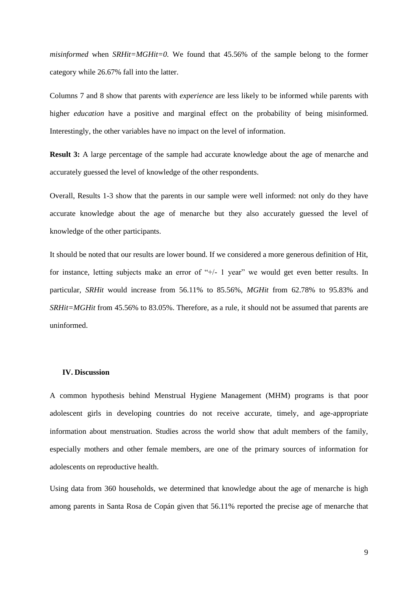*misinformed* when *SRHit=MGHit=0.* We found that 45.56% of the sample belong to the former category while 26.67% fall into the latter.

Columns 7 and 8 show that parents with *experience* are less likely to be informed while parents with higher *education* have a positive and marginal effect on the probability of being misinformed. Interestingly, the other variables have no impact on the level of information.

**Result 3:** A large percentage of the sample had accurate knowledge about the age of menarche and accurately guessed the level of knowledge of the other respondents.

Overall, Results 1-3 show that the parents in our sample were well informed: not only do they have accurate knowledge about the age of menarche but they also accurately guessed the level of knowledge of the other participants.

It should be noted that our results are lower bound. If we considered a more generous definition of Hit, for instance, letting subjects make an error of "+/- 1 year" we would get even better results. In particular, *SRHit* would increase from 56.11% to 85.56%, *MGHit* from 62.78% to 95.83% and *SRHit=MGHit* from 45.56% to 83.05%. Therefore, as a rule, it should not be assumed that parents are uninformed.

#### **IV. Discussion**

A common hypothesis behind Menstrual Hygiene Management (MHM) programs is that poor adolescent girls in developing countries do not receive accurate, timely, and age-appropriate information about menstruation. Studies across the world show that adult members of the family, especially mothers and other female members, are one of the primary sources of information for adolescents on reproductive health.

Using data from 360 households, we determined that knowledge about the age of menarche is high among parents in Santa Rosa de Copán given that 56.11% reported the precise age of menarche that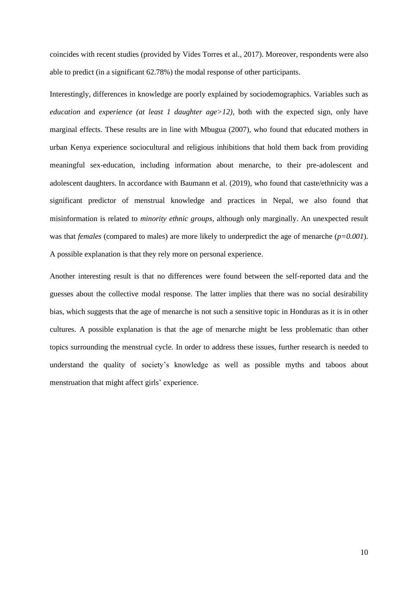coincides with recent studies (provided by Vides Torres et al., 2017). Moreover, respondents were also able to predict (in a significant 62.78%) the modal response of other participants.

Interestingly, differences in knowledge are poorly explained by sociodemographics. Variables such as *education* and *experience (at least 1 daughter age>12),* both with the expected sign, only have marginal effects. These results are in line with Mbugua (2007), who found that educated mothers in urban Kenya experience sociocultural and religious inhibitions that hold them back from providing meaningful sex-education, including information about menarche, to their pre-adolescent and adolescent daughters. In accordance with Baumann et al. (2019), who found that caste/ethnicity was a significant predictor of menstrual knowledge and practices in Nepal, we also found that misinformation is related to *minority ethnic groups,* although only marginally. An unexpected result was that *females* (compared to males) are more likely to underpredict the age of menarche (*p=0.001*). A possible explanation is that they rely more on personal experience.

Another interesting result is that no differences were found between the self-reported data and the guesses about the collective modal response. The latter implies that there was no social desirability bias, which suggests that the age of menarche is not such a sensitive topic in Honduras as it is in other cultures. A possible explanation is that the age of menarche might be less problematic than other topics surrounding the menstrual cycle. In order to address these issues, further research is needed to understand the quality of society's knowledge as well as possible myths and taboos about menstruation that might affect girls' experience.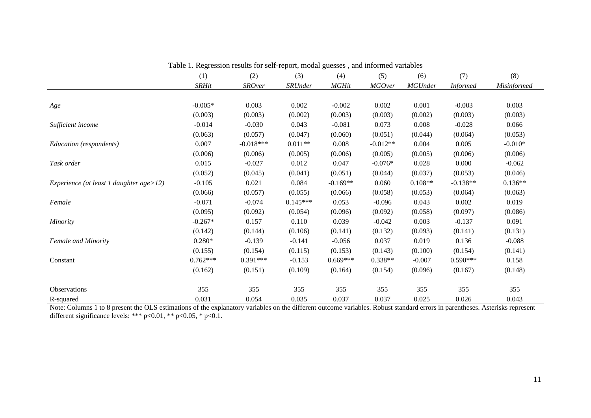| Table 1. Regression results for self-report, modal guesses, and informed variables |              |               |                |              |               |                |                 |             |  |  |
|------------------------------------------------------------------------------------|--------------|---------------|----------------|--------------|---------------|----------------|-----------------|-------------|--|--|
|                                                                                    | (1)          | (2)           | (3)            | (4)          | (5)           | (6)            | (7)             | (8)         |  |  |
|                                                                                    | <b>SRHit</b> | <b>SROver</b> | <b>SRUnder</b> | <b>MGHit</b> | <b>MGOver</b> | <b>MGUnder</b> | <b>Informed</b> | Misinformed |  |  |
|                                                                                    | $-0.005*$    | 0.003         | 0.002          | $-0.002$     | 0.002         | 0.001          | $-0.003$        | 0.003       |  |  |
| Age                                                                                |              |               |                |              |               |                |                 |             |  |  |
|                                                                                    | (0.003)      | (0.003)       | (0.002)        | (0.003)      | (0.003)       | (0.002)        | (0.003)         | (0.003)     |  |  |
| Sufficient income                                                                  | $-0.014$     | $-0.030$      | 0.043          | $-0.081$     | 0.073         | 0.008          | $-0.028$        | 0.066       |  |  |
|                                                                                    | (0.063)      | (0.057)       | (0.047)        | (0.060)      | (0.051)       | (0.044)        | (0.064)         | (0.053)     |  |  |
| Education (respondents)                                                            | 0.007        | $-0.018***$   | $0.011**$      | 0.008        | $-0.012**$    | 0.004          | 0.005           | $-0.010*$   |  |  |
|                                                                                    | (0.006)      | (0.006)       | (0.005)        | (0.006)      | (0.005)       | (0.005)        | (0.006)         | (0.006)     |  |  |
| Task order                                                                         | 0.015        | $-0.027$      | 0.012          | 0.047        | $-0.076*$     | 0.028          | 0.000           | $-0.062$    |  |  |
|                                                                                    | (0.052)      | (0.045)       | (0.041)        | (0.051)      | (0.044)       | (0.037)        | (0.053)         | (0.046)     |  |  |
| Experience (at least 1 daughter $age > 12$ )                                       | $-0.105$     | 0.021         | 0.084          | $-0.169**$   | 0.060         | $0.108**$      | $-0.138**$      | $0.136**$   |  |  |
|                                                                                    | (0.066)      | (0.057)       | (0.055)        | (0.066)      | (0.058)       | (0.053)        | (0.064)         | (0.063)     |  |  |
| Female                                                                             | $-0.071$     | $-0.074$      | $0.145***$     | 0.053        | $-0.096$      | 0.043          | 0.002           | 0.019       |  |  |
|                                                                                    | (0.095)      | (0.092)       | (0.054)        | (0.096)      | (0.092)       | (0.058)        | (0.097)         | (0.086)     |  |  |
| <b>Minority</b>                                                                    | $-0.267*$    | 0.157         | 0.110          | 0.039        | $-0.042$      | 0.003          | $-0.137$        | 0.091       |  |  |
|                                                                                    | (0.142)      | (0.144)       | (0.106)        | (0.141)      | (0.132)       | (0.093)        | (0.141)         | (0.131)     |  |  |
| <b>Female and Minority</b>                                                         | $0.280*$     | $-0.139$      | $-0.141$       | $-0.056$     | 0.037         | 0.019          | 0.136           | $-0.088$    |  |  |
|                                                                                    | (0.155)      | (0.154)       | (0.115)        | (0.153)      | (0.143)       | (0.100)        | (0.154)         | (0.141)     |  |  |
| Constant                                                                           | $0.762***$   | $0.391***$    | $-0.153$       | $0.669***$   | $0.338**$     | $-0.007$       | $0.590***$      | 0.158       |  |  |
|                                                                                    | (0.162)      | (0.151)       | (0.109)        | (0.164)      | (0.154)       | (0.096)        | (0.167)         | (0.148)     |  |  |
| <b>Observations</b>                                                                | 355          | 355           | 355            | 355          | 355           | 355            | 355             | 355         |  |  |
| R-squared                                                                          | 0.031        | 0.054         | 0.035          | 0.037        | 0.037         | 0.025          | 0.026           | 0.043       |  |  |

Note: Columns 1 to 8 present the OLS estimations of the explanatory variables on the different outcome variables. Robust standard errors in parentheses. Asterisks represent different significance levels: \*\*\* p<0.01, \*\* p<0.05, \* p<0.1.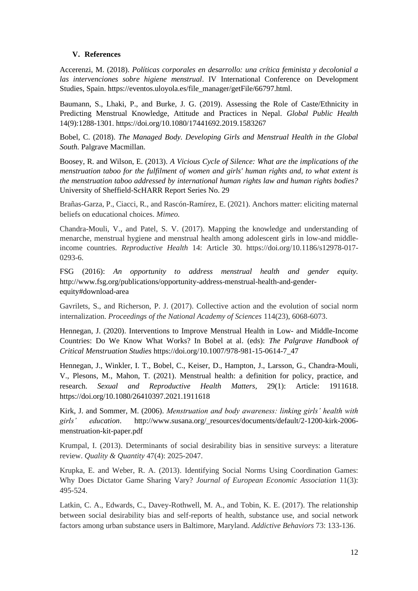#### **V. References**

Accerenzi, M. (2018). *Políticas corporales en desarrollo: una crítica feminista y decolonial a las intervenciones sobre higiene menstrual*. IV International Conference on Development Studies, Spain. https://eventos.uloyola.es/file\_manager/getFile/66797.html.

Baumann, S., Lhaki, P., and Burke, J. G. (2019). Assessing the Role of Caste/Ethnicity in Predicting Menstrual Knowledge, Attitude and Practices in Nepal. *Global Public Health* 14(9):1288-1301. https://doi.org/10.1080/17441692.2019.1583267

Bobel, C. (2018). *The Managed Body. Developing Girls and Menstrual Health in the Global South.* Palgrave Macmillan.

Boosey, R. and Wilson, E. (2013). *A Vicious Cycle of Silence: What are the implications of the menstruation taboo for the fulfilment of women and girls' human rights and, to what extent is the menstruation taboo addressed by international human rights law and human rights bodies?*  University of Sheffield-ScHARR Report Series No. 29

Brañas-Garza, P., Ciacci, R., and Rascón-Ramírez, E. (2021). Anchors matter: eliciting maternal beliefs on educational choices. *Mimeo.*

Chandra-Mouli, V., and Patel, S. V. (2017). Mapping the knowledge and understanding of menarche, menstrual hygiene and menstrual health among adolescent girls in low-and middleincome countries. *Reproductive Health* 14: Article 30. https://doi.org/10.1186/s12978-017- 0293-6.

FSG (2016): *An opportunity to address menstrual health and gender equity.*  http://www.fsg.org/publications/opportunity-address-menstrual-health-and-genderequity#download-area

Gavrilets, S., and Richerson, P. J. (2017). Collective action and the evolution of social norm internalization. *Proceedings of the National Academy of Sciences* 114(23), 6068-6073.

Hennegan, J. (2020). Interventions to Improve Menstrual Health in Low- and Middle-Income Countries: Do We Know What Works? In Bobel at al. (eds): *The Palgrave Handbook of Critical Menstruation Studies* https://doi.org/10.1007/978-981-15-0614-7\_47

Hennegan, J., Winkler, I. T., Bobel, C., Keiser, D., Hampton, J., Larsson, G., Chandra-Mouli, V., Plesons, M., Mahon, T. (2021). Menstrual health: a definition for policy, practice, and research. *Sexual and Reproductive Health Matters,* 29(1): Article: 1911618. https://doi.org/10.1080/26410397.2021.1911618

Kirk, J. and Sommer, M. (2006). *Menstruation and body awareness: linking girls' health with girls' education*. http://www.susana.org/\_resources/documents/default/2-1200-kirk-2006 menstruation-kit-paper.pdf

Krumpal, I. (2013). Determinants of social desirability bias in sensitive surveys: a literature review. *Quality & Quantity* 47(4): 2025-2047.

Krupka, E. and Weber, R. A. (2013). Identifying Social Norms Using Coordination Games: Why Does Dictator Game Sharing Vary? *Journal of European Economic Association* 11(3): 495-524.

Latkin, C. A., Edwards, C., Davey-Rothwell, M. A., and Tobin, K. E. (2017). The relationship between social desirability bias and self-reports of health, substance use, and social network factors among urban substance users in Baltimore, Maryland. *Addictive Behaviors* 73: 133-136.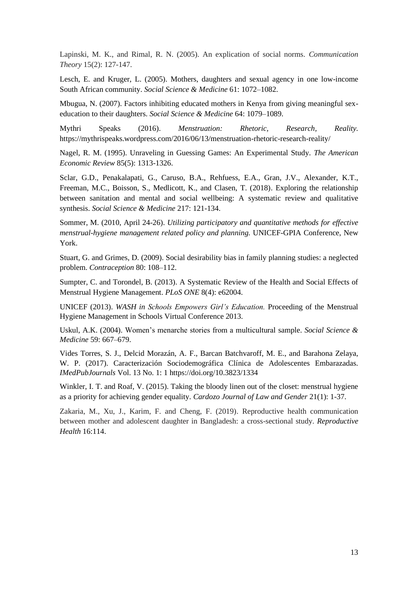Lapinski, M. K., and Rimal, R. N. (2005). An explication of social norms. *Communication Theory* 15(2): 127-147.

Lesch, E. and Kruger, L. (2005). Mothers, daughters and sexual agency in one low-income South African community. *Social Science & Medicine* 61: 1072–1082.

Mbugua, N. (2007). Factors inhibiting educated mothers in Kenya from giving meaningful sexeducation to their daughters. *Social Science & Medicine* 64: 1079–1089.

Mythri Speaks (2016). *Menstruation: Rhetoric, Research, Reality.*  https://mythrispeaks.wordpress.com/2016/06/13/menstruation-rhetoric-research-reality/

Nagel, R. M. (1995). Unraveling in Guessing Games: An Experimental Study. *The American Economic Review* 85(5): 1313-1326.

Sclar, G.D., Penakalapati, G., Caruso, B.A., Rehfuess, E.A., Gran, J.V., Alexander, K.T., Freeman, M.C., Boisson, S., Medlicott, K., and Clasen, T. (2018). Exploring the relationship between sanitation and mental and social wellbeing: A systematic review and qualitative synthesis. *Social Science & Medicine* 217: 121-134.

Sommer, M. (2010, April 24-26). *Utilizing participatory and quantitative methods for effective menstrual-hygiene management related policy and planning.* UNICEF-GPIA Conference, New York.

Stuart, G. and Grimes, D. (2009). Social desirability bias in family planning studies: a neglected problem. *Contraception* 80: 108–112.

Sumpter, C. and Torondel, B. (2013). A Systematic Review of the Health and Social Effects of Menstrual Hygiene Management. *PLoS ONE* 8(4): e62004.

UNICEF (2013). *WASH in Schools Empowers Girl's Education.* Proceeding of the Menstrual Hygiene Management in Schools Virtual Conference 2013.

Uskul, A.K. (2004). Women's menarche stories from a multicultural sample. *Social Science & Medicine* 59: 667–679.

Vides Torres, S. J., Delcid Morazán, A. F., Barcan Batchvaroff, M. E., and Barahona Zelaya, W. P. (2017). Caracterización Sociodemográfica Clínica de Adolescentes Embarazadas*. IMedPubJournals* Vol. 13 No. 1: 1 https://doi.org/10.3823/1334

Winkler, I. T. and Roaf, V. (2015). Taking the bloody linen out of the closet: menstrual hygiene as a priority for achieving gender equality. *Cardozo Journal of Law and Gender* 21(1): 1-37.

Zakaria, M., Xu, J., Karim, F. and Cheng, F. (2019). Reproductive health communication between mother and adolescent daughter in Bangladesh: a cross-sectional study*. Reproductive Health* 16:114.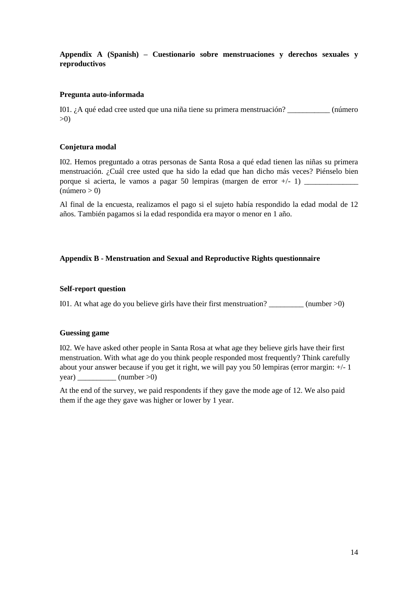#### **Appendix A (Spanish) – Cuestionario sobre menstruaciones y derechos sexuales y reproductivos**

#### **Pregunta auto-informada**

I01. ¿A qué edad cree usted que una niña tiene su primera menstruación? \_\_\_\_\_\_\_\_\_\_\_ (número  $>0$ )

#### **Conjetura modal**

I02. Hemos preguntado a otras personas de Santa Rosa a qué edad tienen las niñas su primera menstruación. ¿Cuál cree usted que ha sido la edad que han dicho más veces? Piénselo bien porque si acierta, le vamos a pagar 50 lempiras (margen de error  $+/- 1$ )  $(n \text{úmero} > 0)$ 

Al final de la encuesta, realizamos el pago si el sujeto había respondido la edad modal de 12 años. También pagamos si la edad respondida era mayor o menor en 1 año.

#### **Appendix B - Menstruation and Sexual and Reproductive Rights questionnaire**

#### **Self-report question**

I01. At what age do you believe girls have their first menstruation?  $(mmber > 0)$ 

#### **Guessing game**

I02. We have asked other people in Santa Rosa at what age they believe girls have their first menstruation. With what age do you think people responded most frequently? Think carefully about your answer because if you get it right, we will pay you 50 lempiras (error margin: +/- 1  $year)$  (number >0)

At the end of the survey, we paid respondents if they gave the mode age of 12. We also paid them if the age they gave was higher or lower by 1 year.